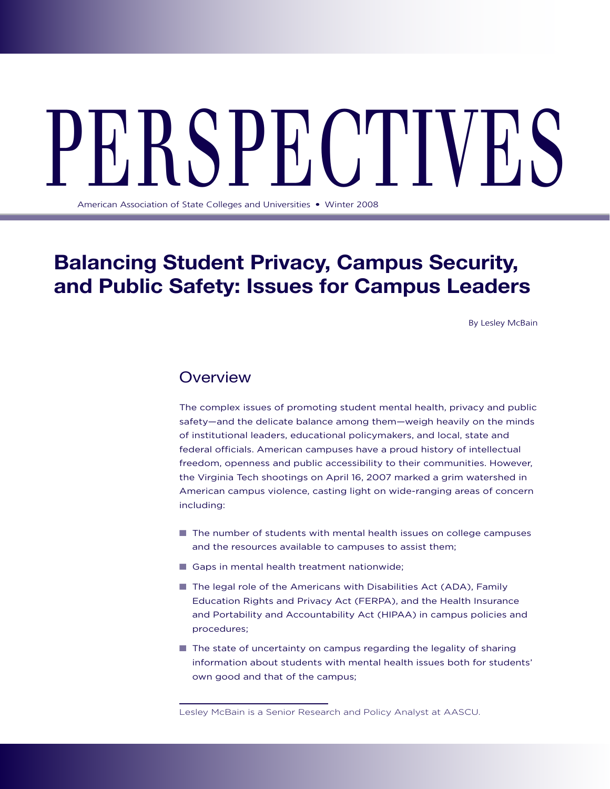# PERS  $\checkmark$  Pectives  $\checkmark$

American Association of State Colleges and Universities . Winter 2008

## **Balancing Student Privacy, Campus Security, and Public Safety: Issues for Campus Leaders**

By Lesley McBain

## **Overview**

The complex issues of promoting student mental health, privacy and public safety—and the delicate balance among them—weigh heavily on the minds of institutional leaders, educational policymakers, and local, state and federal officials. American campuses have a proud history of intellectual freedom, openness and public accessibility to their communities. However, the Virginia Tech shootings on April 16, 2007 marked a grim watershed in American campus violence, casting light on wide-ranging areas of concern including:

- $\blacksquare$  The number of students with mental health issues on college campuses and the resources available to campuses to assist them;
- $\blacksquare$  Gaps in mental health treatment nationwide;
- The legal role of the Americans with Disabilities Act (ADA), Family Education Rights and Privacy Act (FERPA), and the Health Insurance and Portability and Accountability Act (HIPAA) in campus policies and procedures;
- $\blacksquare$  The state of uncertainty on campus regarding the legality of sharing information about students with mental health issues both for students' own good and that of the campus;

Lesley McBain is a Senior Research and Policy Analyst at AASCU.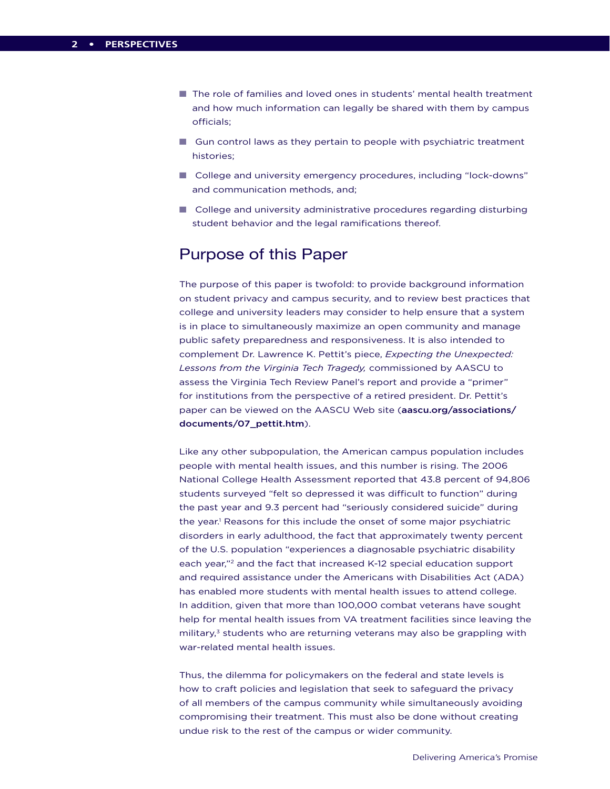- The role of families and loved ones in students' mental health treatment and how much information can legally be shared with them by campus officials;
- $\Box$  Gun control laws as they pertain to people with psychiatric treatment histories;
- College and university emergency procedures, including "lock-downs" and communication methods, and;
- $\blacksquare$  College and university administrative procedures regarding disturbing student behavior and the legal ramifications thereof.

## Purpose of this Paper

The purpose of this paper is twofold: to provide background information on student privacy and campus security, and to review best practices that college and university leaders may consider to help ensure that a system is in place to simultaneously maximize an open community and manage public safety preparedness and responsiveness. It is also intended to complement Dr. Lawrence K. Pettit's piece, *Expecting the Unexpected: Lessons from the Virginia Tech Tragedy,* commissioned by AASCU to assess the Virginia Tech Review Panel's report and provide a "primer" for institutions from the perspective of a retired president. Dr. Pettit's paper can be viewed on the AASCU Web site (aascu.org/associations/ documents/07\_pettit.htm).

Like any other subpopulation, the American campus population includes people with mental health issues, and this number is rising. The 2006 National College Health Assessment reported that 43.8 percent of 94,806 students surveyed "felt so depressed it was difficult to function" during the past year and 9.3 percent had "seriously considered suicide" during the year.<sup>1</sup> Reasons for this include the onset of some major psychiatric disorders in early adulthood, the fact that approximately twenty percent of the U.S. population "experiences a diagnosable psychiatric disability each year,"2 and the fact that increased K-12 special education support and required assistance under the Americans with Disabilities Act (ADA) has enabled more students with mental health issues to attend college. In addition, given that more than 100,000 combat veterans have sought help for mental health issues from VA treatment facilities since leaving the military,<sup>3</sup> students who are returning veterans may also be grappling with war-related mental health issues.

Thus, the dilemma for policymakers on the federal and state levels is how to craft policies and legislation that seek to safeguard the privacy of all members of the campus community while simultaneously avoiding compromising their treatment. This must also be done without creating undue risk to the rest of the campus or wider community.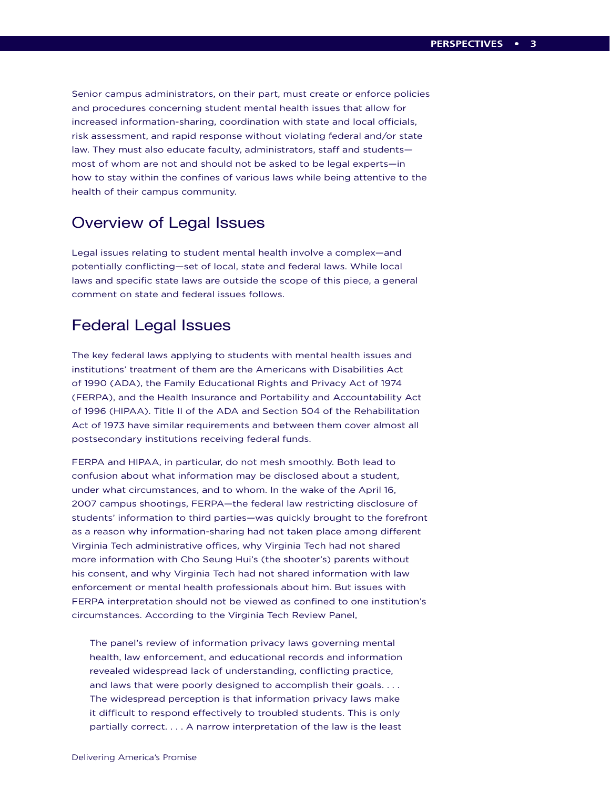Senior campus administrators, on their part, must create or enforce policies and procedures concerning student mental health issues that allow for increased information-sharing, coordination with state and local officials, risk assessment, and rapid response without violating federal and/or state law. They must also educate faculty, administrators, staff and students most of whom are not and should not be asked to be legal experts—in how to stay within the confines of various laws while being attentive to the health of their campus community.

## Overview of Legal Issues

Legal issues relating to student mental health involve a complex—and potentially conflicting—set of local, state and federal laws. While local laws and specific state laws are outside the scope of this piece, a general comment on state and federal issues follows.

## Federal Legal Issues

The key federal laws applying to students with mental health issues and institutions' treatment of them are the Americans with Disabilities Act of 1990 (ADA), the Family Educational Rights and Privacy Act of 1974 (FERPA), and the Health Insurance and Portability and Accountability Act of 1996 (HIPAA). Title II of the ADA and Section 504 of the Rehabilitation Act of 1973 have similar requirements and between them cover almost all postsecondary institutions receiving federal funds.

FERPA and HIPAA, in particular, do not mesh smoothly. Both lead to confusion about what information may be disclosed about a student, under what circumstances, and to whom. In the wake of the April 16, 2007 campus shootings, FERPA—the federal law restricting disclosure of students' information to third parties—was quickly brought to the forefront as a reason why information-sharing had not taken place among different Virginia Tech administrative offices, why Virginia Tech had not shared more information with Cho Seung Hui's (the shooter's) parents without his consent, and why Virginia Tech had not shared information with law enforcement or mental health professionals about him. But issues with FERPA interpretation should not be viewed as confined to one institution's circumstances. According to the Virginia Tech Review Panel,

The panel's review of information privacy laws governing mental health, law enforcement, and educational records and information revealed widespread lack of understanding, conflicting practice, and laws that were poorly designed to accomplish their goals.... The widespread perception is that information privacy laws make it difficult to respond effectively to troubled students. This is only partially correct. . . . A narrow interpretation of the law is the least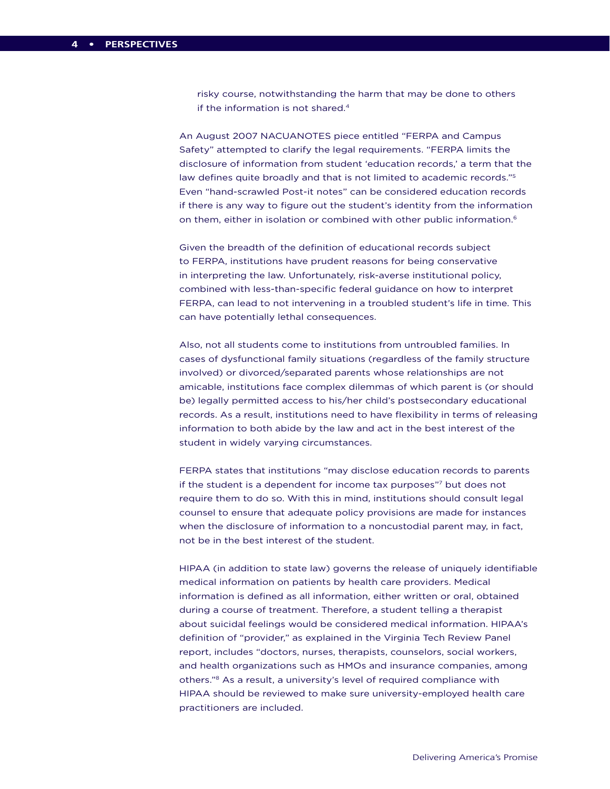risky course, notwithstanding the harm that may be done to others if the information is not shared.4

An August 2007 NACUANOTES piece entitled "FERPA and Campus Safety" attempted to clarify the legal requirements. "FERPA limits the disclosure of information from student 'education records,' a term that the law defines quite broadly and that is not limited to academic records."5 Even "hand-scrawled Post-it notes" can be considered education records if there is any way to figure out the student's identity from the information on them, either in isolation or combined with other public information.<sup>6</sup>

Given the breadth of the definition of educational records subject to FERPA, institutions have prudent reasons for being conservative in interpreting the law. Unfortunately, risk-averse institutional policy, combined with less-than-specific federal guidance on how to interpret FERPA, can lead to not intervening in a troubled student's life in time. This can have potentially lethal consequences.

Also, not all students come to institutions from untroubled families. In cases of dysfunctional family situations (regardless of the family structure involved) or divorced/separated parents whose relationships are not amicable, institutions face complex dilemmas of which parent is (or should be) legally permitted access to his/her child's postsecondary educational records. As a result, institutions need to have flexibility in terms of releasing information to both abide by the law and act in the best interest of the student in widely varying circumstances.

FERPA states that institutions "may disclose education records to parents if the student is a dependent for income tax purposes"7 but does not require them to do so. With this in mind, institutions should consult legal counsel to ensure that adequate policy provisions are made for instances when the disclosure of information to a noncustodial parent may, in fact, not be in the best interest of the student.

HIPAA (in addition to state law) governs the release of uniquely identifiable medical information on patients by health care providers. Medical information is defined as all information, either written or oral, obtained during a course of treatment. Therefore, a student telling a therapist about suicidal feelings would be considered medical information. HIPAA's definition of "provider," as explained in the Virginia Tech Review Panel report, includes "doctors, nurses, therapists, counselors, social workers, and health organizations such as HMOs and insurance companies, among others."8 As a result, a university's level of required compliance with HIPAA should be reviewed to make sure university-employed health care practitioners are included.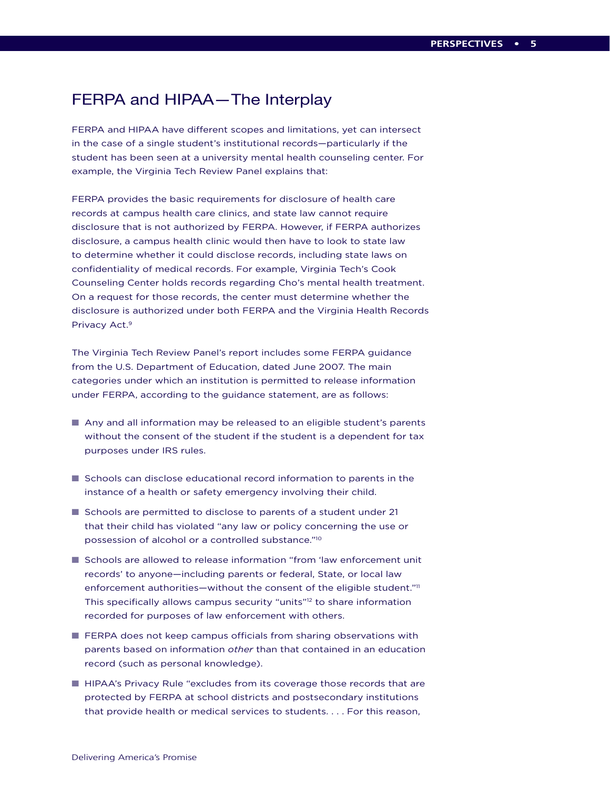## FERPA and HIPAA—The Interplay

FERPA and HIPAA have different scopes and limitations, yet can intersect in the case of a single student's institutional records—particularly if the student has been seen at a university mental health counseling center. For example, the Virginia Tech Review Panel explains that:

FERPA provides the basic requirements for disclosure of health care records at campus health care clinics, and state law cannot require disclosure that is not authorized by FERPA. However, if FERPA authorizes disclosure, a campus health clinic would then have to look to state law to determine whether it could disclose records, including state laws on confidentiality of medical records. For example, Virginia Tech's Cook Counseling Center holds records regarding Cho's mental health treatment. On a request for those records, the center must determine whether the disclosure is authorized under both FERPA and the Virginia Health Records Privacy Act.9

The Virginia Tech Review Panel's report includes some FERPA guidance from the U.S. Department of Education, dated June 2007. The main categories under which an institution is permitted to release information under FERPA, according to the guidance statement, are as follows:

- Any and all information may be released to an eligible student's parents without the consent of the student if the student is a dependent for tax purposes under IRS rules.
- $\blacksquare$  Schools can disclose educational record information to parents in the instance of a health or safety emergency involving their child.
- Schools are permitted to disclose to parents of a student under 21 that their child has violated "any law or policy concerning the use or possession of alcohol or a controlled substance."10
- **n** Schools are allowed to release information "from 'law enforcement unit records' to anyone—including parents or federal, State, or local law enforcement authorities—without the consent of the eligible student."<sup>11</sup> This specifically allows campus security "units"12 to share information recorded for purposes of law enforcement with others.
- $\blacksquare$  FERPA does not keep campus officials from sharing observations with parents based on information *other* than that contained in an education record (such as personal knowledge).
- **HIPAA's Privacy Rule "excludes from its coverage those records that are** protected by FERPA at school districts and postsecondary institutions that provide health or medical services to students. . . . For this reason,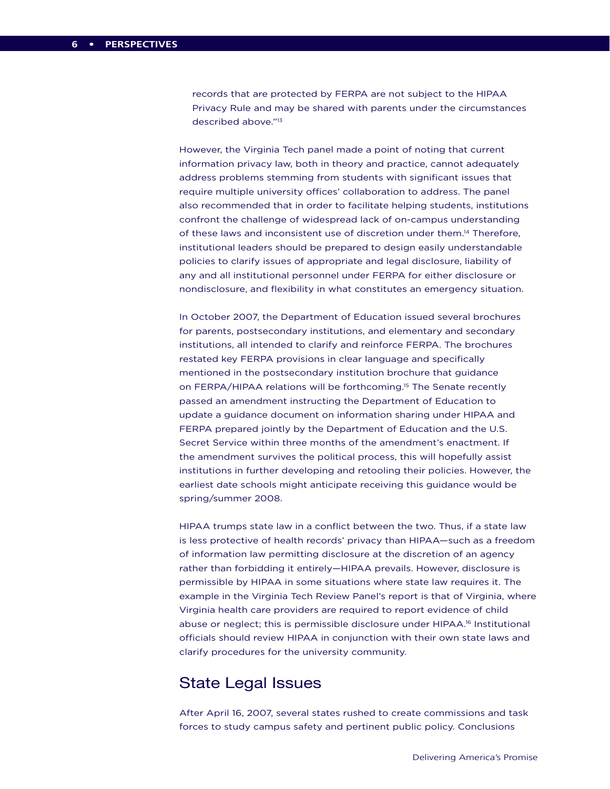records that are protected by FERPA are not subject to the HIPAA Privacy Rule and may be shared with parents under the circumstances described above."13

However, the Virginia Tech panel made a point of noting that current information privacy law, both in theory and practice, cannot adequately address problems stemming from students with significant issues that require multiple university offices' collaboration to address. The panel also recommended that in order to facilitate helping students, institutions confront the challenge of widespread lack of on-campus understanding of these laws and inconsistent use of discretion under them.14 Therefore, institutional leaders should be prepared to design easily understandable policies to clarify issues of appropriate and legal disclosure, liability of any and all institutional personnel under FERPA for either disclosure or nondisclosure, and flexibility in what constitutes an emergency situation.

In October 2007, the Department of Education issued several brochures for parents, postsecondary institutions, and elementary and secondary institutions, all intended to clarify and reinforce FERPA. The brochures restated key FERPA provisions in clear language and specifically mentioned in the postsecondary institution brochure that guidance on FERPA/HIPAA relations will be forthcoming.15 The Senate recently passed an amendment instructing the Department of Education to update a guidance document on information sharing under HIPAA and FERPA prepared jointly by the Department of Education and the U.S. Secret Service within three months of the amendment's enactment. If the amendment survives the political process, this will hopefully assist institutions in further developing and retooling their policies. However, the earliest date schools might anticipate receiving this guidance would be spring/summer 2008.

HIPAA trumps state law in a conflict between the two. Thus, if a state law is less protective of health records' privacy than HIPAA—such as a freedom of information law permitting disclosure at the discretion of an agency rather than forbidding it entirely—HIPAA prevails. However, disclosure is permissible by HIPAA in some situations where state law requires it. The example in the Virginia Tech Review Panel's report is that of Virginia, where Virginia health care providers are required to report evidence of child abuse or neglect; this is permissible disclosure under HIPAA.<sup>16</sup> Institutional officials should review HIPAA in conjunction with their own state laws and clarify procedures for the university community.

## State Legal Issues

After April 16, 2007, several states rushed to create commissions and task forces to study campus safety and pertinent public policy. Conclusions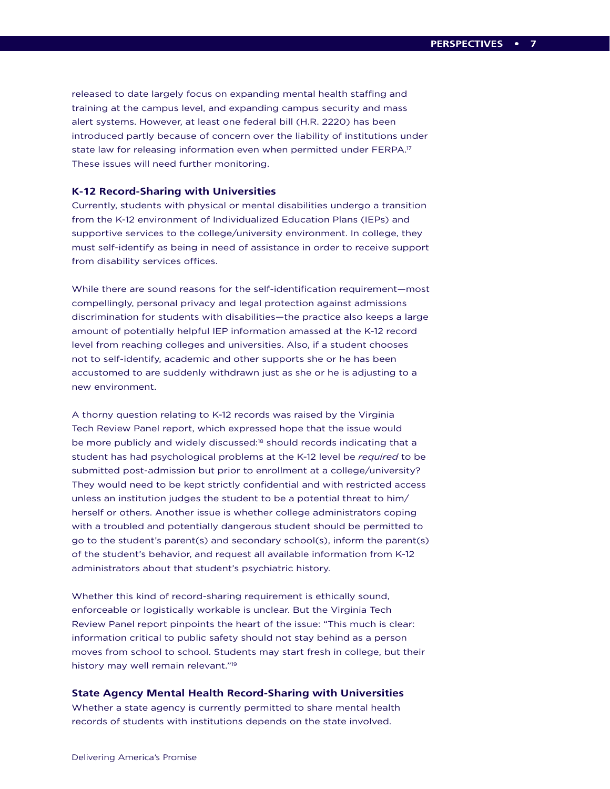released to date largely focus on expanding mental health staffing and training at the campus level, and expanding campus security and mass alert systems. However, at least one federal bill (H.R. 2220) has been introduced partly because of concern over the liability of institutions under state law for releasing information even when permitted under FERPA.17 These issues will need further monitoring.

#### **K-12 Record-Sharing with Universities**

Currently, students with physical or mental disabilities undergo a transition from the K-12 environment of Individualized Education Plans (IEPs) and supportive services to the college/university environment. In college, they must self-identify as being in need of assistance in order to receive support from disability services offices.

While there are sound reasons for the self-identification requirement—most compellingly, personal privacy and legal protection against admissions discrimination for students with disabilities—the practice also keeps a large amount of potentially helpful IEP information amassed at the K-12 record level from reaching colleges and universities. Also, if a student chooses not to self-identify, academic and other supports she or he has been accustomed to are suddenly withdrawn just as she or he is adjusting to a new environment.

A thorny question relating to K-12 records was raised by the Virginia Tech Review Panel report, which expressed hope that the issue would be more publicly and widely discussed:<sup>18</sup> should records indicating that a student has had psychological problems at the K-12 level be *required* to be submitted post-admission but prior to enrollment at a college/university? They would need to be kept strictly confidential and with restricted access unless an institution judges the student to be a potential threat to him/ herself or others. Another issue is whether college administrators coping with a troubled and potentially dangerous student should be permitted to go to the student's parent(s) and secondary school(s), inform the parent(s) of the student's behavior, and request all available information from K-12 administrators about that student's psychiatric history.

Whether this kind of record-sharing requirement is ethically sound, enforceable or logistically workable is unclear. But the Virginia Tech Review Panel report pinpoints the heart of the issue: "This much is clear: information critical to public safety should not stay behind as a person moves from school to school. Students may start fresh in college, but their history may well remain relevant."19

#### **State Agency Mental Health Record-Sharing with Universities**

Whether a state agency is currently permitted to share mental health records of students with institutions depends on the state involved.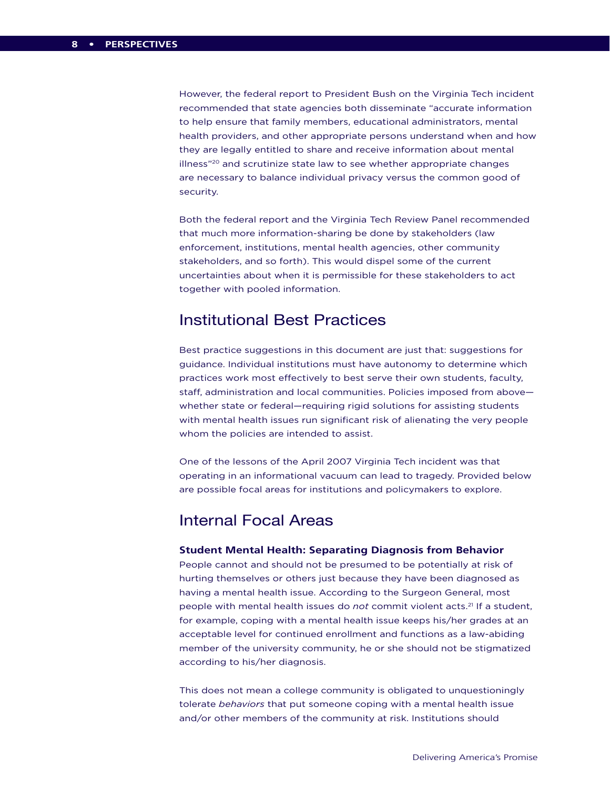However, the federal report to President Bush on the Virginia Tech incident recommended that state agencies both disseminate "accurate information to help ensure that family members, educational administrators, mental health providers, and other appropriate persons understand when and how they are legally entitled to share and receive information about mental illness"<sup>20</sup> and scrutinize state law to see whether appropriate changes are necessary to balance individual privacy versus the common good of security.

Both the federal report and the Virginia Tech Review Panel recommended that much more information-sharing be done by stakeholders (law enforcement, institutions, mental health agencies, other community stakeholders, and so forth). This would dispel some of the current uncertainties about when it is permissible for these stakeholders to act together with pooled information.

### Institutional Best Practices

Best practice suggestions in this document are just that: suggestions for guidance. Individual institutions must have autonomy to determine which practices work most effectively to best serve their own students, faculty, staff, administration and local communities. Policies imposed from above whether state or federal—requiring rigid solutions for assisting students with mental health issues run significant risk of alienating the very people whom the policies are intended to assist.

One of the lessons of the April 2007 Virginia Tech incident was that operating in an informational vacuum can lead to tragedy. Provided below are possible focal areas for institutions and policymakers to explore.

## Internal Focal Areas

#### **Student Mental Health: Separating Diagnosis from Behavior**

People cannot and should not be presumed to be potentially at risk of hurting themselves or others just because they have been diagnosed as having a mental health issue. According to the Surgeon General, most people with mental health issues do *not* commit violent acts.21 If a student, for example, coping with a mental health issue keeps his/her grades at an acceptable level for continued enrollment and functions as a law-abiding member of the university community, he or she should not be stigmatized according to his/her diagnosis.

This does not mean a college community is obligated to unquestioningly tolerate *behaviors* that put someone coping with a mental health issue and/or other members of the community at risk. Institutions should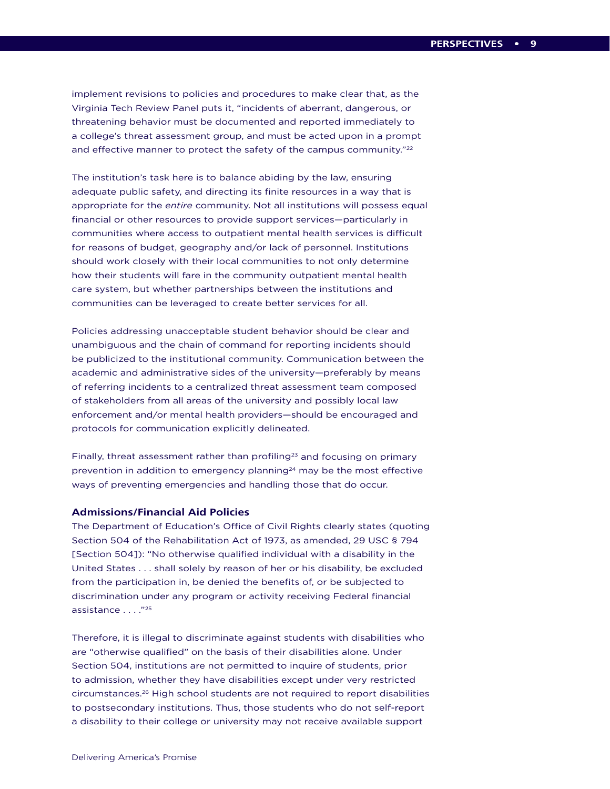implement revisions to policies and procedures to make clear that, as the Virginia Tech Review Panel puts it, "incidents of aberrant, dangerous, or threatening behavior must be documented and reported immediately to a college's threat assessment group, and must be acted upon in a prompt and effective manner to protect the safety of the campus community."<sup>22</sup>

The institution's task here is to balance abiding by the law, ensuring adequate public safety, and directing its finite resources in a way that is appropriate for the *entire* community. Not all institutions will possess equal financial or other resources to provide support services—particularly in communities where access to outpatient mental health services is difficult for reasons of budget, geography and/or lack of personnel. Institutions should work closely with their local communities to not only determine how their students will fare in the community outpatient mental health care system, but whether partnerships between the institutions and communities can be leveraged to create better services for all.

Policies addressing unacceptable student behavior should be clear and unambiguous and the chain of command for reporting incidents should be publicized to the institutional community. Communication between the academic and administrative sides of the university—preferably by means of referring incidents to a centralized threat assessment team composed of stakeholders from all areas of the university and possibly local law enforcement and/or mental health providers—should be encouraged and protocols for communication explicitly delineated.

Finally, threat assessment rather than profiling<sup>23</sup> and focusing on primary prevention in addition to emergency planning<sup>24</sup> may be the most effective ways of preventing emergencies and handling those that do occur.

#### **Admissions/Financial Aid Policies**

The Department of Education's Office of Civil Rights clearly states (quoting Section 504 of the Rehabilitation Act of 1973, as amended, 29 USC § 794 [Section 504]): "No otherwise qualified individual with a disability in the United States . . . shall solely by reason of her or his disability, be excluded from the participation in, be denied the benefits of, or be subjected to discrimination under any program or activity receiving Federal financial assistance . . . ."25

Therefore, it is illegal to discriminate against students with disabilities who are "otherwise qualified" on the basis of their disabilities alone. Under Section 504, institutions are not permitted to inquire of students, prior to admission, whether they have disabilities except under very restricted circumstances.26 High school students are not required to report disabilities to postsecondary institutions. Thus, those students who do not self-report a disability to their college or university may not receive available support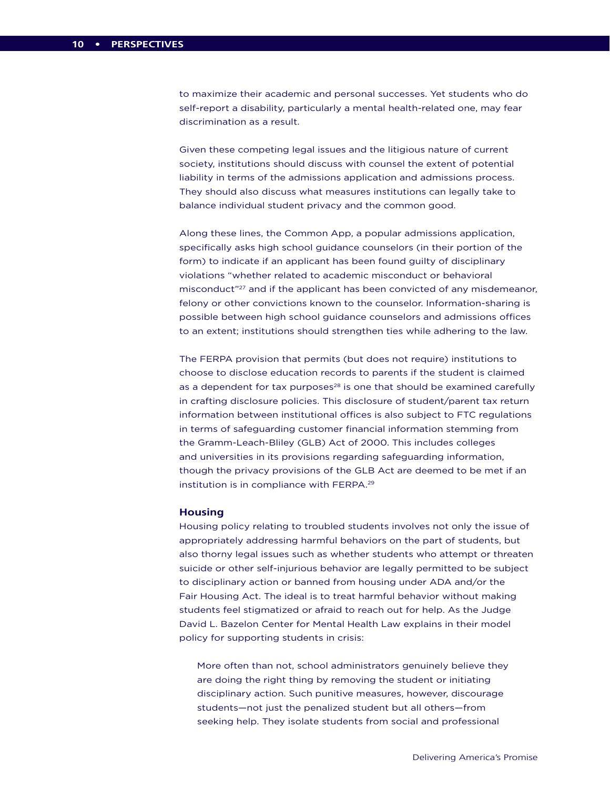to maximize their academic and personal successes. Yet students who do self-report a disability, particularly a mental health-related one, may fear discrimination as a result.

Given these competing legal issues and the litigious nature of current society, institutions should discuss with counsel the extent of potential liability in terms of the admissions application and admissions process. They should also discuss what measures institutions can legally take to balance individual student privacy and the common good.

Along these lines, the Common App, a popular admissions application, specifically asks high school guidance counselors (in their portion of the form) to indicate if an applicant has been found guilty of disciplinary violations "whether related to academic misconduct or behavioral misconduct"27 and if the applicant has been convicted of any misdemeanor, felony or other convictions known to the counselor. Information-sharing is possible between high school guidance counselors and admissions offices to an extent; institutions should strengthen ties while adhering to the law.

The FERPA provision that permits (but does not require) institutions to choose to disclose education records to parents if the student is claimed as a dependent for tax purposes $^{28}$  is one that should be examined carefully in crafting disclosure policies. This disclosure of student/parent tax return information between institutional offices is also subject to FTC regulations in terms of safeguarding customer financial information stemming from the Gramm-Leach-Bliley (GLB) Act of 2000. This includes colleges and universities in its provisions regarding safeguarding information, though the privacy provisions of the GLB Act are deemed to be met if an institution is in compliance with FERPA.29

#### **Housing**

Housing policy relating to troubled students involves not only the issue of appropriately addressing harmful behaviors on the part of students, but also thorny legal issues such as whether students who attempt or threaten suicide or other self-injurious behavior are legally permitted to be subject to disciplinary action or banned from housing under ADA and/or the Fair Housing Act. The ideal is to treat harmful behavior without making students feel stigmatized or afraid to reach out for help. As the Judge David L. Bazelon Center for Mental Health Law explains in their model policy for supporting students in crisis:

More often than not, school administrators genuinely believe they are doing the right thing by removing the student or initiating disciplinary action. Such punitive measures, however, discourage students—not just the penalized student but all others—from seeking help. They isolate students from social and professional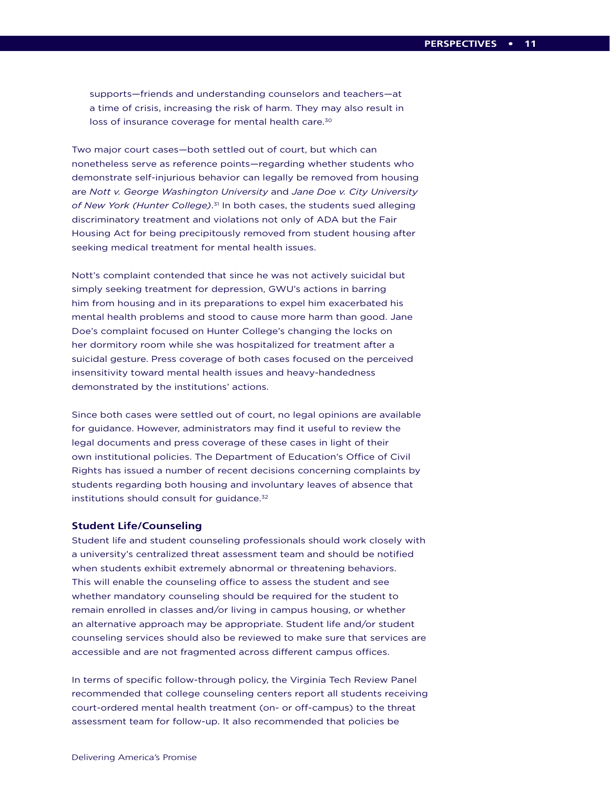supports—friends and understanding counselors and teachers—at a time of crisis, increasing the risk of harm. They may also result in loss of insurance coverage for mental health care.<sup>30</sup>

Two major court cases—both settled out of court, but which can nonetheless serve as reference points—regarding whether students who demonstrate self-injurious behavior can legally be removed from housing are *Nott v. George Washington University* and *Jane Doe v. City University of New York (Hunter College)*. 31 In both cases, the students sued alleging discriminatory treatment and violations not only of ADA but the Fair Housing Act for being precipitously removed from student housing after seeking medical treatment for mental health issues.

Nott's complaint contended that since he was not actively suicidal but simply seeking treatment for depression, GWU's actions in barring him from housing and in its preparations to expel him exacerbated his mental health problems and stood to cause more harm than good. Jane Doe's complaint focused on Hunter College's changing the locks on her dormitory room while she was hospitalized for treatment after a suicidal gesture. Press coverage of both cases focused on the perceived insensitivity toward mental health issues and heavy-handedness demonstrated by the institutions' actions.

Since both cases were settled out of court, no legal opinions are available for guidance. However, administrators may find it useful to review the legal documents and press coverage of these cases in light of their own institutional policies. The Department of Education's Office of Civil Rights has issued a number of recent decisions concerning complaints by students regarding both housing and involuntary leaves of absence that institutions should consult for guidance.<sup>32</sup>

#### **Student Life/Counseling**

Student life and student counseling professionals should work closely with a university's centralized threat assessment team and should be notified when students exhibit extremely abnormal or threatening behaviors. This will enable the counseling office to assess the student and see whether mandatory counseling should be required for the student to remain enrolled in classes and/or living in campus housing, or whether an alternative approach may be appropriate. Student life and/or student counseling services should also be reviewed to make sure that services are accessible and are not fragmented across different campus offices.

In terms of specific follow-through policy, the Virginia Tech Review Panel recommended that college counseling centers report all students receiving court-ordered mental health treatment (on- or off-campus) to the threat assessment team for follow-up. It also recommended that policies be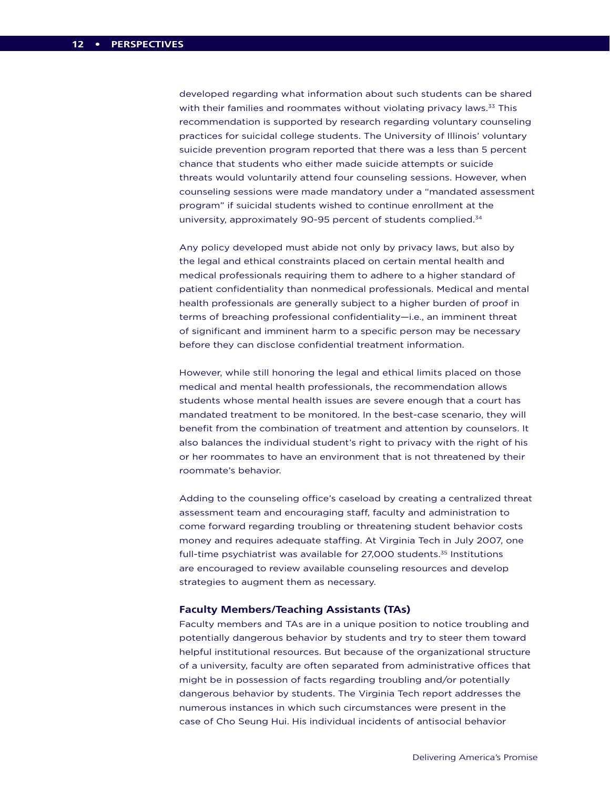developed regarding what information about such students can be shared with their families and roommates without violating privacy laws.<sup>33</sup> This recommendation is supported by research regarding voluntary counseling practices for suicidal college students. The University of Illinois' voluntary suicide prevention program reported that there was a less than 5 percent chance that students who either made suicide attempts or suicide threats would voluntarily attend four counseling sessions. However, when counseling sessions were made mandatory under a "mandated assessment program" if suicidal students wished to continue enrollment at the university, approximately 90-95 percent of students complied.<sup>34</sup>

Any policy developed must abide not only by privacy laws, but also by the legal and ethical constraints placed on certain mental health and medical professionals requiring them to adhere to a higher standard of patient confidentiality than nonmedical professionals. Medical and mental health professionals are generally subject to a higher burden of proof in terms of breaching professional confidentiality—i.e., an imminent threat of significant and imminent harm to a specific person may be necessary before they can disclose confidential treatment information.

However, while still honoring the legal and ethical limits placed on those medical and mental health professionals, the recommendation allows students whose mental health issues are severe enough that a court has mandated treatment to be monitored. In the best-case scenario, they will benefit from the combination of treatment and attention by counselors. It also balances the individual student's right to privacy with the right of his or her roommates to have an environment that is not threatened by their roommate's behavior.

Adding to the counseling office's caseload by creating a centralized threat assessment team and encouraging staff, faculty and administration to come forward regarding troubling or threatening student behavior costs money and requires adequate staffing. At Virginia Tech in July 2007, one full-time psychiatrist was available for 27,000 students.<sup>35</sup> Institutions are encouraged to review available counseling resources and develop strategies to augment them as necessary.

#### **Faculty Members/Teaching Assistants (TAs)**

Faculty members and TAs are in a unique position to notice troubling and potentially dangerous behavior by students and try to steer them toward helpful institutional resources. But because of the organizational structure of a university, faculty are often separated from administrative offices that might be in possession of facts regarding troubling and/or potentially dangerous behavior by students. The Virginia Tech report addresses the numerous instances in which such circumstances were present in the case of Cho Seung Hui. His individual incidents of antisocial behavior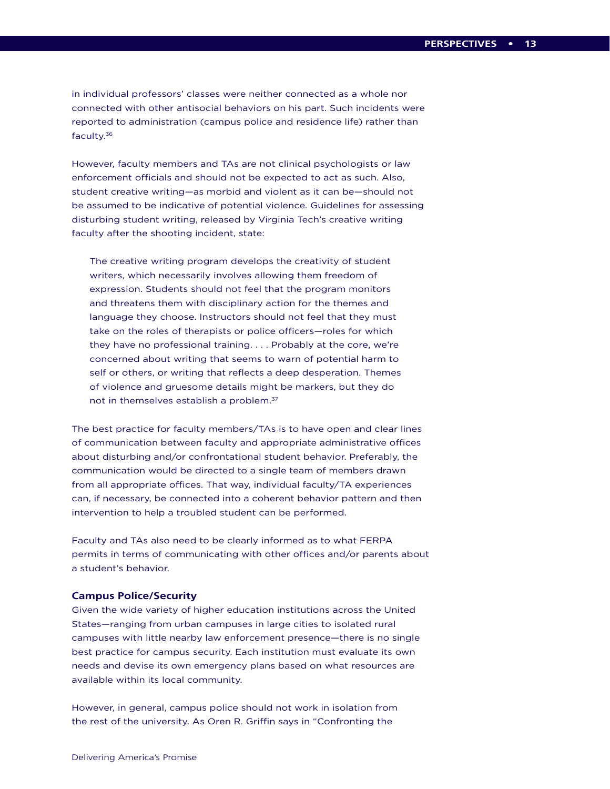in individual professors' classes were neither connected as a whole nor connected with other antisocial behaviors on his part. Such incidents were reported to administration (campus police and residence life) rather than faculty.36

However, faculty members and TAs are not clinical psychologists or law enforcement officials and should not be expected to act as such. Also, student creative writing—as morbid and violent as it can be—should not be assumed to be indicative of potential violence. Guidelines for assessing disturbing student writing, released by Virginia Tech's creative writing faculty after the shooting incident, state:

The creative writing program develops the creativity of student writers, which necessarily involves allowing them freedom of expression. Students should not feel that the program monitors and threatens them with disciplinary action for the themes and language they choose. Instructors should not feel that they must take on the roles of therapists or police officers—roles for which they have no professional training. . . . Probably at the core, we're concerned about writing that seems to warn of potential harm to self or others, or writing that reflects a deep desperation. Themes of violence and gruesome details might be markers, but they do not in themselves establish a problem.37

The best practice for faculty members/TAs is to have open and clear lines of communication between faculty and appropriate administrative offices about disturbing and/or confrontational student behavior. Preferably, the communication would be directed to a single team of members drawn from all appropriate offices. That way, individual faculty/TA experiences can, if necessary, be connected into a coherent behavior pattern and then intervention to help a troubled student can be performed.

Faculty and TAs also need to be clearly informed as to what FERPA permits in terms of communicating with other offices and/or parents about a student's behavior.

#### **Campus Police/Security**

Given the wide variety of higher education institutions across the United States—ranging from urban campuses in large cities to isolated rural campuses with little nearby law enforcement presence—there is no single best practice for campus security. Each institution must evaluate its own needs and devise its own emergency plans based on what resources are available within its local community.

However, in general, campus police should not work in isolation from the rest of the university. As Oren R. Griffin says in "Confronting the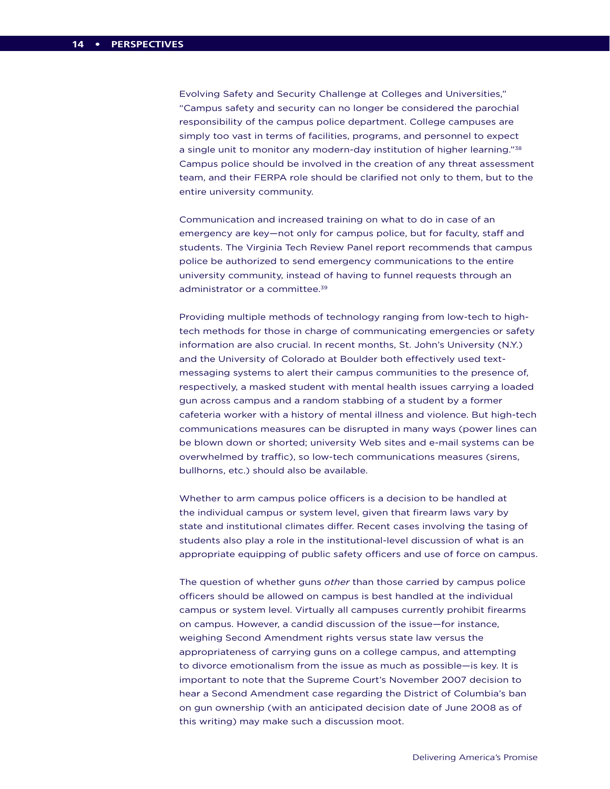Evolving Safety and Security Challenge at Colleges and Universities," "Campus safety and security can no longer be considered the parochial responsibility of the campus police department. College campuses are simply too vast in terms of facilities, programs, and personnel to expect a single unit to monitor any modern-day institution of higher learning."38 Campus police should be involved in the creation of any threat assessment team, and their FERPA role should be clarified not only to them, but to the entire university community.

Communication and increased training on what to do in case of an emergency are key—not only for campus police, but for faculty, staff and students. The Virginia Tech Review Panel report recommends that campus police be authorized to send emergency communications to the entire university community, instead of having to funnel requests through an administrator or a committee.<sup>39</sup>

Providing multiple methods of technology ranging from low-tech to hightech methods for those in charge of communicating emergencies or safety information are also crucial. In recent months, St. John's University (N.Y.) and the University of Colorado at Boulder both effectively used textmessaging systems to alert their campus communities to the presence of, respectively, a masked student with mental health issues carrying a loaded gun across campus and a random stabbing of a student by a former cafeteria worker with a history of mental illness and violence. But high-tech communications measures can be disrupted in many ways (power lines can be blown down or shorted; university Web sites and e-mail systems can be overwhelmed by traffic), so low-tech communications measures (sirens, bullhorns, etc.) should also be available.

Whether to arm campus police officers is a decision to be handled at the individual campus or system level, given that firearm laws vary by state and institutional climates differ. Recent cases involving the tasing of students also play a role in the institutional-level discussion of what is an appropriate equipping of public safety officers and use of force on campus.

The question of whether guns *other* than those carried by campus police officers should be allowed on campus is best handled at the individual campus or system level. Virtually all campuses currently prohibit firearms on campus. However, a candid discussion of the issue—for instance, weighing Second Amendment rights versus state law versus the appropriateness of carrying guns on a college campus, and attempting to divorce emotionalism from the issue as much as possible—is key. It is important to note that the Supreme Court's November 2007 decision to hear a Second Amendment case regarding the District of Columbia's ban on gun ownership (with an anticipated decision date of June 2008 as of this writing) may make such a discussion moot.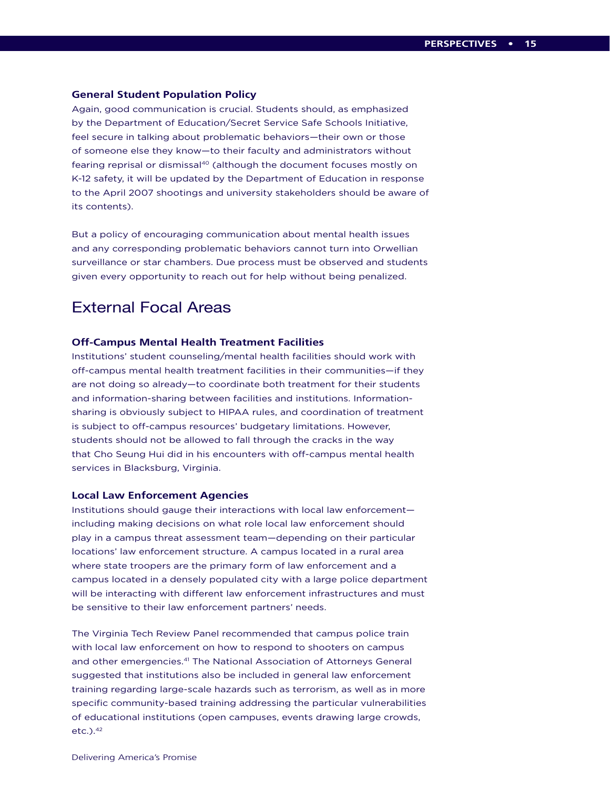#### **General Student Population Policy**

Again, good communication is crucial. Students should, as emphasized by the Department of Education/Secret Service Safe Schools Initiative, feel secure in talking about problematic behaviors—their own or those of someone else they know—to their faculty and administrators without fearing reprisal or dismissal<sup>40</sup> (although the document focuses mostly on K-12 safety, it will be updated by the Department of Education in response to the April 2007 shootings and university stakeholders should be aware of its contents).

But a policy of encouraging communication about mental health issues and any corresponding problematic behaviors cannot turn into Orwellian surveillance or star chambers. Due process must be observed and students given every opportunity to reach out for help without being penalized.

## External Focal Areas

#### **Off-Campus Mental Health Treatment Facilities**

Institutions' student counseling/mental health facilities should work with off-campus mental health treatment facilities in their communities—if they are not doing so already—to coordinate both treatment for their students and information-sharing between facilities and institutions. Informationsharing is obviously subject to HIPAA rules, and coordination of treatment is subject to off-campus resources' budgetary limitations. However, students should not be allowed to fall through the cracks in the way that Cho Seung Hui did in his encounters with off-campus mental health services in Blacksburg, Virginia.

#### **Local Law Enforcement Agencies**

Institutions should gauge their interactions with local law enforcement including making decisions on what role local law enforcement should play in a campus threat assessment team—depending on their particular locations' law enforcement structure. A campus located in a rural area where state troopers are the primary form of law enforcement and a campus located in a densely populated city with a large police department will be interacting with different law enforcement infrastructures and must be sensitive to their law enforcement partners' needs.

The Virginia Tech Review Panel recommended that campus police train with local law enforcement on how to respond to shooters on campus and other emergencies.<sup>41</sup> The National Association of Attorneys General suggested that institutions also be included in general law enforcement training regarding large-scale hazards such as terrorism, as well as in more specific community-based training addressing the particular vulnerabilities of educational institutions (open campuses, events drawing large crowds, etc.).42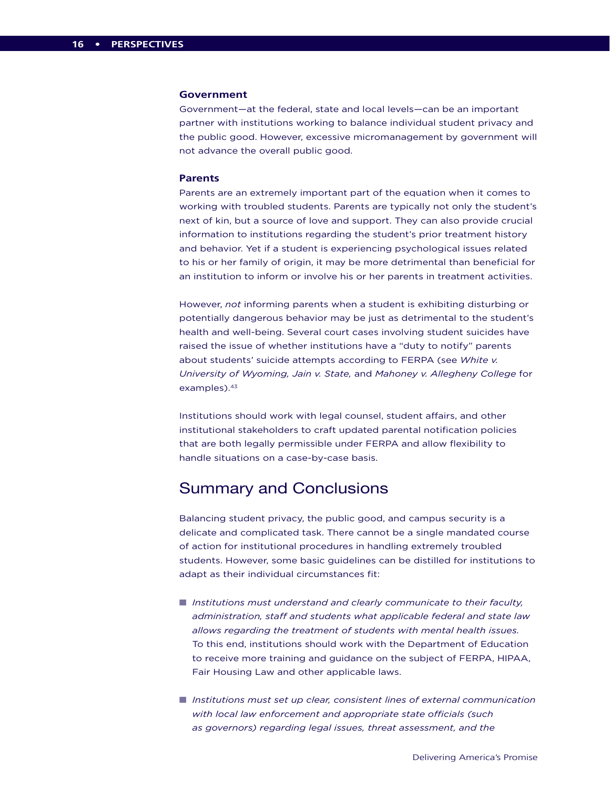#### **Government**

Government—at the federal, state and local levels—can be an important partner with institutions working to balance individual student privacy and the public good. However, excessive micromanagement by government will not advance the overall public good.

#### **Parents**

Parents are an extremely important part of the equation when it comes to working with troubled students. Parents are typically not only the student's next of kin, but a source of love and support. They can also provide crucial information to institutions regarding the student's prior treatment history and behavior. Yet if a student is experiencing psychological issues related to his or her family of origin, it may be more detrimental than beneficial for an institution to inform or involve his or her parents in treatment activities.

However, *not* informing parents when a student is exhibiting disturbing or potentially dangerous behavior may be just as detrimental to the student's health and well-being. Several court cases involving student suicides have raised the issue of whether institutions have a "duty to notify" parents about students' suicide attempts according to FERPA (see *White v. University of Wyoming, Jain v. State,* and *Mahoney v. Allegheny College* for examples).<sup>43</sup>

Institutions should work with legal counsel, student affairs, and other institutional stakeholders to craft updated parental notification policies that are both legally permissible under FERPA and allow flexibility to handle situations on a case-by-case basis.

## Summary and Conclusions

Balancing student privacy, the public good, and campus security is a delicate and complicated task. There cannot be a single mandated course of action for institutional procedures in handling extremely troubled students. However, some basic guidelines can be distilled for institutions to adapt as their individual circumstances fit:

- *Institutions must understand and clearly communicate to their faculty, administration, staff and students what applicable federal and state law allows regarding the treatment of students with mental health issues.*  To this end, institutions should work with the Department of Education to receive more training and guidance on the subject of FERPA, HIPAA, Fair Housing Law and other applicable laws.
- *Institutions must set up clear, consistent lines of external communication with local law enforcement and appropriate state officials (such as governors) regarding legal issues, threat assessment, and the*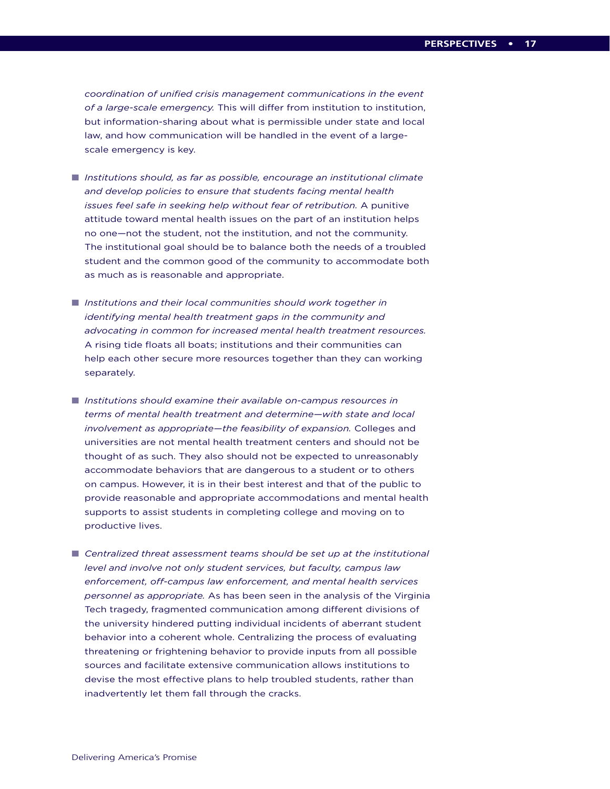*coordination of unified crisis management communications in the event of a large-scale emergency.* This will differ from institution to institution, but information-sharing about what is permissible under state and local law, and how communication will be handled in the event of a largescale emergency is key.

- *Institutions should, as far as possible, encourage an institutional climate and develop policies to ensure that students facing mental health issues feel safe in seeking help without fear of retribution.* A punitive attitude toward mental health issues on the part of an institution helps no one—not the student, not the institution, and not the community. The institutional goal should be to balance both the needs of a troubled student and the common good of the community to accommodate both as much as is reasonable and appropriate.
- *Institutions and their local communities should work together in identifying mental health treatment gaps in the community and advocating in common for increased mental health treatment resources.* A rising tide floats all boats; institutions and their communities can help each other secure more resources together than they can working separately.
- *Institutions should examine their available on-campus resources in terms of mental health treatment and determine—with state and local involvement as appropriate—the feasibility of expansion.* Colleges and universities are not mental health treatment centers and should not be thought of as such. They also should not be expected to unreasonably accommodate behaviors that are dangerous to a student or to others on campus. However, it is in their best interest and that of the public to provide reasonable and appropriate accommodations and mental health supports to assist students in completing college and moving on to productive lives.
- Centralized threat assessment teams should be set up at the institutional *level and involve not only student services, but faculty, campus law enforcement, off-campus law enforcement, and mental health services personnel as appropriate.* As has been seen in the analysis of the Virginia Tech tragedy, fragmented communication among different divisions of the university hindered putting individual incidents of aberrant student behavior into a coherent whole. Centralizing the process of evaluating threatening or frightening behavior to provide inputs from all possible sources and facilitate extensive communication allows institutions to devise the most effective plans to help troubled students, rather than inadvertently let them fall through the cracks.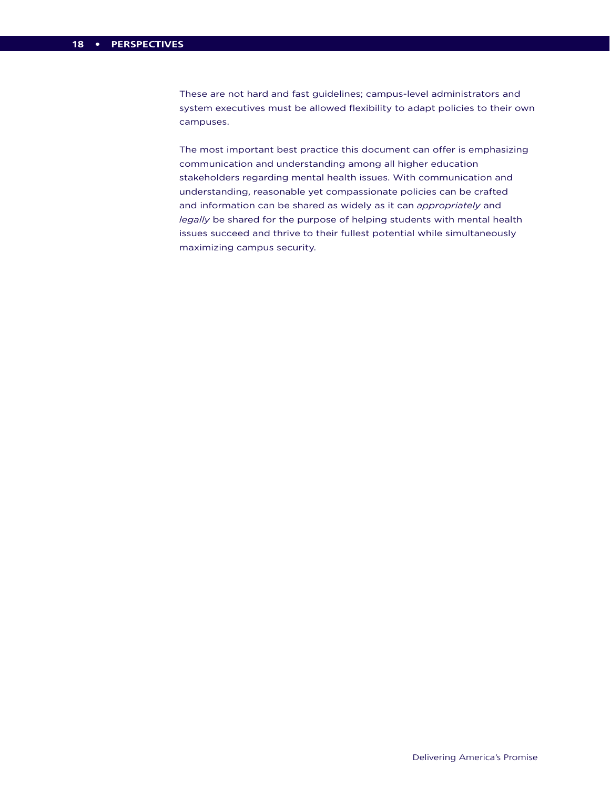These are not hard and fast guidelines; campus-level administrators and system executives must be allowed flexibility to adapt policies to their own campuses.

The most important best practice this document can offer is emphasizing communication and understanding among all higher education stakeholders regarding mental health issues. With communication and understanding, reasonable yet compassionate policies can be crafted and information can be shared as widely as it can *appropriately* and *legally* be shared for the purpose of helping students with mental health issues succeed and thrive to their fullest potential while simultaneously maximizing campus security.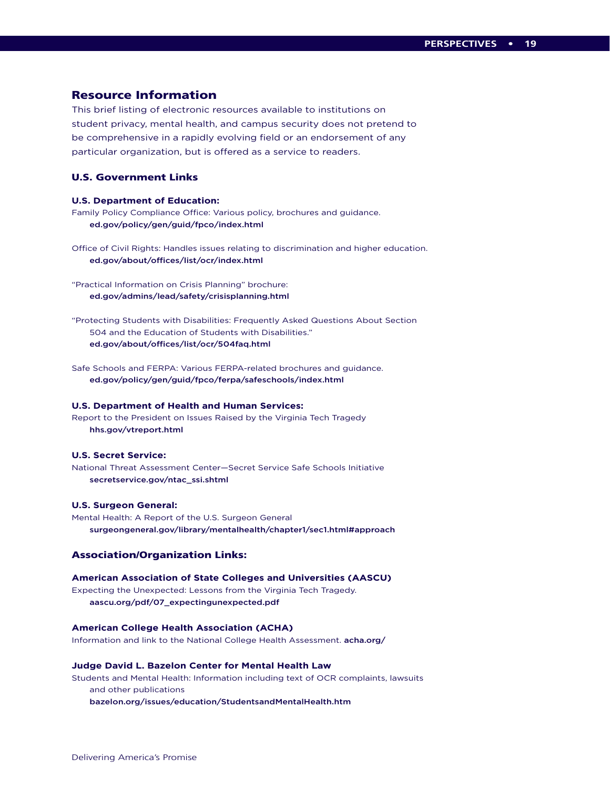#### Resource Information

This brief listing of electronic resources available to institutions on student privacy, mental health, and campus security does not pretend to be comprehensive in a rapidly evolving field or an endorsement of any particular organization, but is offered as a service to readers.

#### U.S. Government Links

#### **U.S. Department of Education:**

Family Policy Compliance Office: Various policy, brochures and guidance. ed.gov/policy/gen/guid/fpco/index.html

Office of Civil Rights: Handles issues relating to discrimination and higher education. ed.gov/about/offices/list/ocr/index.html

"Practical Information on Crisis Planning" brochure: ed.gov/admins/lead/safety/crisisplanning.html

"Protecting Students with Disabilities: Frequently Asked Questions About Section 504 and the Education of Students with Disabilities." ed.gov/about/offices/list/ocr/504faq.html

Safe Schools and FERPA: Various FERPA-related brochures and guidance. ed.gov/policy/gen/guid/fpco/ferpa/safeschools/index.html

#### **U.S. Department of Health and Human Services:**

Report to the President on Issues Raised by the Virginia Tech Tragedy hhs.gov/vtreport.html

#### **U.S. Secret Service:**

National Threat Assessment Center—Secret Service Safe Schools Initiative secretservice.gov/ntac\_ssi.shtml

#### **U.S. Surgeon General:**

Mental Health: A Report of the U.S. Surgeon General surgeongeneral.gov/library/mentalhealth/chapter1/sec1.html#approach

#### Association/Organization Links:

#### **American Association of State Colleges and Universities (AASCU)**

Expecting the Unexpected: Lessons from the Virginia Tech Tragedy. aascu.org/pdf/07\_expectingunexpected.pdf

#### **American College Health Association (ACHA)**

Information and link to the National College Health Assessment. acha.org/

#### **Judge David L. Bazelon Center for Mental Health Law**

Students and Mental Health: Information including text of OCR complaints, lawsuits and other publications

bazelon.org/issues/education/StudentsandMentalHealth.htm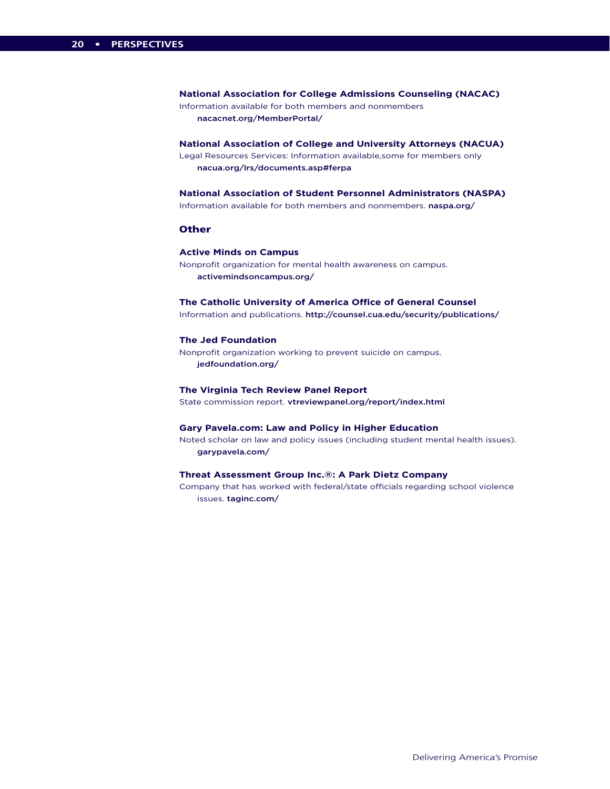**National Association for College Admissions Counseling (NACAC)** Information available for both members and nonmembers nacacnet.org/MemberPortal/

**National Association of College and University Attorneys (NACUA)** Legal Resources Services: Information available,some for members only nacua.org/lrs/documents.asp#ferpa

**National Association of Student Personnel Administrators (NASPA)**

Information available for both members and nonmembers. naspa.org/

#### **Other**

#### **Active Minds on Campus**

Nonprofit organization for mental health awareness on campus. activemindsoncampus.org/

#### **The Catholic University of America Office of General Counsel**

Information and publications. http://counsel.cua.edu/security/publications/

#### **The Jed Foundation**

Nonprofit organization working to prevent suicide on campus. jedfoundation.org/

#### **The Virginia Tech Review Panel Report**

State commission report. vtreviewpanel.org/report/index.html

#### **Gary Pavela.com: Law and Policy in Higher Education**

Noted scholar on law and policy issues (including student mental health issues). garypavela.com/

#### **Threat Assessment Group Inc.®: A Park Dietz Company**

Company that has worked with federal/state officials regarding school violence issues. taginc.com/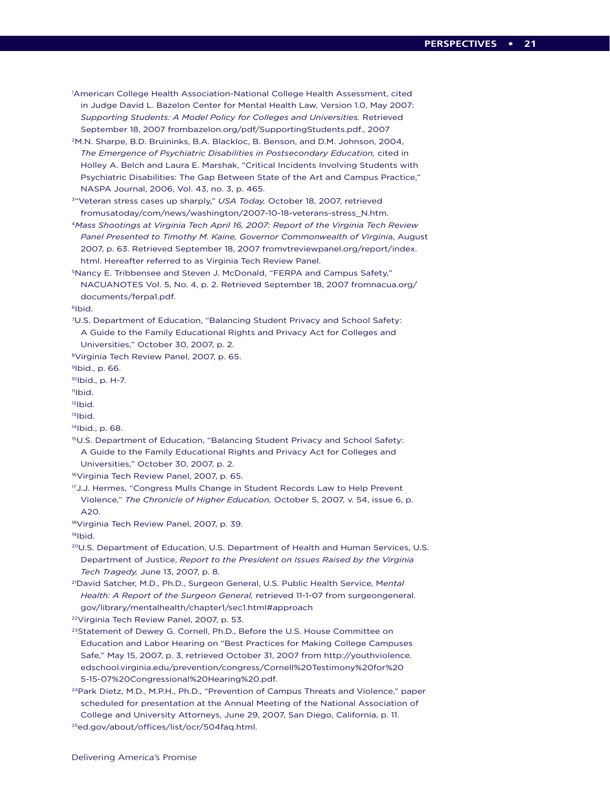- 1 American College Health Association-National College Health Assessment, cited in Judge David L. Bazelon Center for Mental Health Law, Version 1.0, May 2007: *Supporting Students: A Model Policy for Colleges and Universities.* Retrieved September 18, 2007 frombazelon.org/pdf/SupportingStudents.pdf., 2007
- 2M.N. Sharpe, B.D. Bruininks, B.A. Blackloc, B. Benson, and D.M. Johnson, 2004, *The Emergence of Psychiatric Disabilities in Postsecondary Education,* cited in Holley A. Belch and Laura E. Marshak, "Critical Incidents Involving Students with Psychiatric Disabilities: The Gap Between State of the Art and Campus Practice," NASPA Journal, 2006, Vol. 43, no. 3, p. 465.
- 3"Veteran stress cases up sharply," *USA Today,* October 18, 2007, retrieved fromusatoday/com/news/washington/2007-10-18-veterans-stress\_N.htm.
- <sup>4</sup>*Mass Shootings at Virginia Tech April 16, 2007: Report of the Virginia Tech Review Panel Presented to Timothy M. Kaine, Governor Commonwealth of Virgini*a, August 2007, p. 63. Retrieved September 18, 2007 fromvtreviewpanel.org/report/index. html. Hereafter referred to as Virginia Tech Review Panel.
- 5Nancy E. Tribbensee and Steven J. McDonald, "FERPA and Campus Safety," NACUANOTES Vol. 5, No. 4, p. 2. Retrieved September 18, 2007 fromnacua.org/ documents/ferpa1.pdf.

6Ibid.

- 7U.S. Department of Education, "Balancing Student Privacy and School Safety: A Guide to the Family Educational Rights and Privacy Act for Colleges and Universities," October 30, 2007, p. 2.
- 8Virginia Tech Review Panel, 2007, p. 65.

9Ibid., p. 66.

10Ibid., p. H-7.

 $<sup>11</sup>$ Ibid.</sup>

 $12$ Ibid.

 $13$ Ibid.

- 14Ibid., p. 68.
- 15U.S. Department of Education, "Balancing Student Privacy and School Safety: A Guide to the Family Educational Rights and Privacy Act for Colleges and Universities," October 30, 2007, p. 2.
- 16Virginia Tech Review Panel, 2007, p. 65.
- <sup>17</sup>J.J. Hermes, "Congress Mulls Change in Student Records Law to Help Prevent Violence," *The Chronicle of Higher Education,* October 5, 2007, v. 54, issue 6, p. A20.

18Virginia Tech Review Panel, 2007, p. 39.

19Ibid.

- 20U.S. Department of Education, U.S. Department of Health and Human Services, U.S. Department of Justice, *Report to the President on Issues Raised by the Virginia Tech Tragedy,* June 13, 2007, p. 8.
- 21David Satcher, M.D., Ph.D., Surgeon General, U.S. Public Health Service, M*ental Health: A Report of the Surgeon General,* retrieved 11-1-07 from surgeongeneral. gov/library/mentalhealth/chapter1/sec1.html#approach

22Virginia Tech Review Panel, 2007, p. 53.

- <sup>23</sup>Statement of Dewey G. Cornell, Ph.D., Before the U.S. House Committee on Education and Labor Hearing on "Best Practices for Making College Campuses Safe," May 15, 2007, p. 3, retrieved October 31, 2007 from http://youthviolence. edschool.virginia.edu/prevention/congress/Cornell%20Testimony%20for%20 5-15-07%20Congressional%20Hearing%20.pdf.
- <sup>24</sup> Park Dietz, M.D., M.P.H., Ph.D., "Prevention of Campus Threats and Violence," paper scheduled for presentation at the Annual Meeting of the National Association of College and University Attorneys, June 29, 2007, San Diego, California, p. 11. 25ed.gov/about/offices/list/ocr/504faq.html.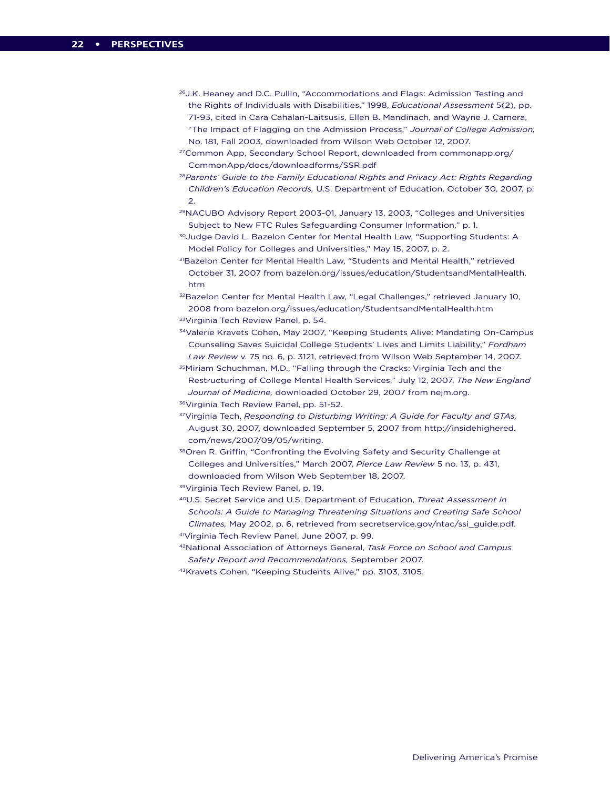- <sup>26</sup> J.K. Heaney and D.C. Pullin, "Accommodations and Flags: Admission Testing and the Rights of Individuals with Disabilities," 1998, *Educational Assessment* 5(2), pp. 71-93, cited in Cara Cahalan-Laitsusis, Ellen B. Mandinach, and Wayne J. Camera, "The Impact of Flagging on the Admission Process," *Journal of College Admission,* No. 181, Fall 2003, downloaded from Wilson Web October 12, 2007.
- 27Common App, Secondary School Report, downloaded from commonapp.org/ CommonApp/docs/downloadforms/SSR.pdf
- <sup>28</sup>*Parents' Guide to the Family Educational Rights and Privacy Act: Rights Regarding Children's Education Records,* U.S. Department of Education, October 30, 2007, p. 2.
- 29NACUBO Advisory Report 2003-01, January 13, 2003, "Colleges and Universities Subject to New FTC Rules Safeguarding Consumer Information," p. 1.
- <sup>30</sup>Judge David L. Bazelon Center for Mental Health Law, "Supporting Students: A Model Policy for Colleges and Universities," May 15, 2007, p. 2.
- 31Bazelon Center for Mental Health Law, "Students and Mental Health," retrieved October 31, 2007 from bazelon.org/issues/education/StudentsandMentalHealth. htm

<sup>32</sup>Bazelon Center for Mental Health Law, "Legal Challenges," retrieved January 10, 2008 from bazelon.org/issues/education/StudentsandMentalHealth.htm 33 Virginia Tech Review Panel, p. 54.

34Valerie Kravets Cohen, May 2007, "Keeping Students Alive: Mandating On-Campus Counseling Saves Suicidal College Students' Lives and Limits Liability," *Fordham Law Review* v. 75 no. 6, p. 3121, retrieved from Wilson Web September 14, 2007.

- <sup>35</sup>Miriam Schuchman, M.D., "Falling through the Cracks: Virginia Tech and the Restructuring of College Mental Health Services," July 12, 2007, *The New England Journal of Medicine,* downloaded October 29, 2007 from nejm.org.
- 36Virginia Tech Review Panel, pp. 51-52.
- 37Virginia Tech, *Responding to Disturbing Writing: A Guide for Faculty and GTAs,*  August 30, 2007, downloaded September 5, 2007 from http://insidehighered. com/news/2007/09/05/writing.
- <sup>38</sup> Oren R. Griffin, "Confronting the Evolving Safety and Security Challenge at Colleges and Universities," March 2007, *Pierce Law Review* 5 no. 13, p. 431, downloaded from Wilson Web September 18, 2007.
- 39Virginia Tech Review Panel, p. 19.
- 40U.S. Secret Service and U.S. Department of Education, *Threat Assessment in Schools: A Guide to Managing Threatening Situations and Creating Safe School Climates,* May 2002, p. 6, retrieved from secretservice.gov/ntac/ssi\_guide.pdf. 41Virginia Tech Review Panel, June 2007, p. 99.
- 42National Association of Attorneys General, *Task Force on School and Campus Safety Report and Recommendations,* September 2007.
- 43Kravets Cohen, "Keeping Students Alive," pp. 3103, 3105.